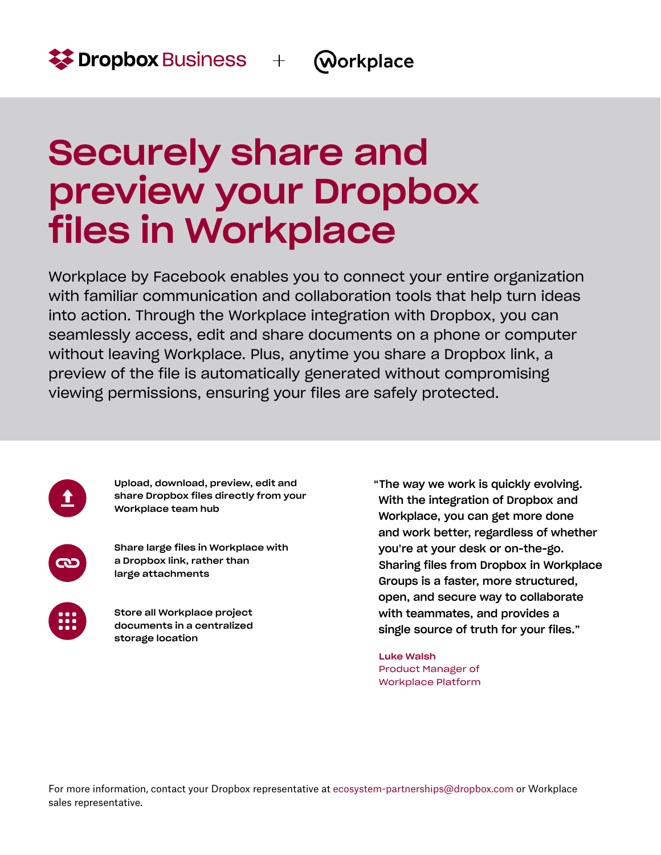## Securely share and preview your Dropbox files in Workplace

Workplace by Facebook enables you to connect your entire organization with familiar communication and collaboration tools that help turn ideas into action. Through the Workplace integration with Dropbox, you can seamlessly access, edit and share documents on a phone or computer without leaving Workplace. Plus, anytime you share a Dropbox link, a preview of the file is automatically generated without compromising viewing permissions, ensuring your files are safely protected.

Upload, download, preview, edit and share Dropbox files directly from your Workplace team hub

> Share large files in Workplace with a Dropbox link, rather than large attachments

Store all Workplace project documents in a centralized storage location

"The way we work is quickly evolving. With the integration of Dropbox and Workplace, you can get more done and work better, regardless of whether you're at your desk or on-the-go. Sharing files from Dropbox in Workplace Groups is a faster, more structured, open, and secure way to collaborate with teammates, and provides a single source of truth for your files."

Luke Walsh Product Manager of Workplace Platform

For more information, contact your Dropbox representative at [ecosystem-partnerships@dropbox.com](mailto:ecosystem-partnerships%40dropbox.com?subject=) or Workplace sales representative.